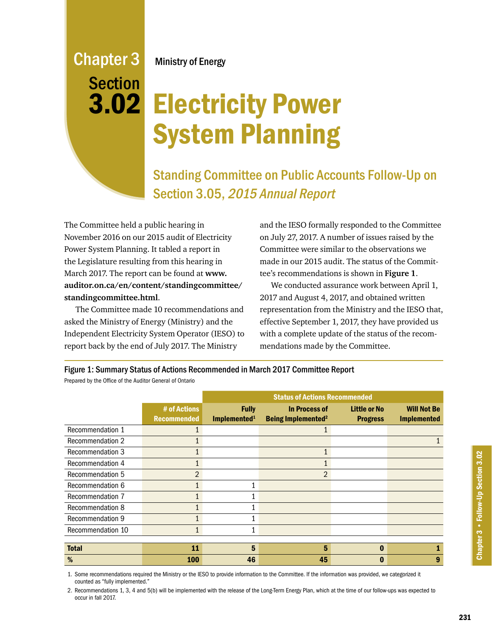# Chapter 3 Section 3.02

Ministry of Energy

# Electricity Power System Planning

Standing Committee on Public Accounts Follow-Up on Section 3.05, 2015 Annual Report

The Committee held a public hearing in November 2016 on our 2015 audit of Electricity Power System Planning. It tabled a report in the Legislature resulting from this hearing in March 2017. The report can be found at **[www.](http://www.auditor.on.ca/en/content/standingcommittee/standingcommittee.html) [auditor.on.ca/en/content/standingcommittee/](http://www.auditor.on.ca/en/content/standingcommittee/standingcommittee.html) [standingcommittee.html](http://www.auditor.on.ca/en/content/standingcommittee/standingcommittee.html)**.

The Committee made 10 recommendations and asked the Ministry of Energy (Ministry) and the Independent Electricity System Operator (IESO) to report back by the end of July 2017. The Ministry

and the IESO formally responded to the Committee on July 27, 2017. A number of issues raised by the Committee were similar to the observations we made in our 2015 audit. The status of the Committee's recommendations is shown in **Figure 1**.

We conducted assurance work between April 1, 2017 and August 4, 2017, and obtained written representation from the Ministry and the IESO that, effective September 1, 2017, they have provided us with a complete update of the status of the recommendations made by the Committee.

Figure 1: Summary Status of Actions Recommended in March 2017 Committee Report Prepared by the Office of the Auditor General of Ontario

|                         |                                    | <b>Status of Actions Recommended</b>     |                                                              |                                        |                                          |  |  |  |
|-------------------------|------------------------------------|------------------------------------------|--------------------------------------------------------------|----------------------------------------|------------------------------------------|--|--|--|
|                         | # of Actions<br><b>Recommended</b> | <b>Fully</b><br>Implemented <sup>1</sup> | <b>In Process of</b><br><b>Being Implemented<sup>2</sup></b> | <b>Little or No</b><br><b>Progress</b> | <b>Will Not Be</b><br><b>Implemented</b> |  |  |  |
| Recommendation 1        |                                    |                                          |                                                              |                                        |                                          |  |  |  |
| <b>Recommendation 2</b> |                                    |                                          |                                                              |                                        |                                          |  |  |  |
| Recommendation 3        |                                    |                                          |                                                              |                                        |                                          |  |  |  |
| Recommendation 4        |                                    |                                          |                                                              |                                        |                                          |  |  |  |
| Recommendation 5        | $\overline{2}$                     |                                          | $\overline{2}$                                               |                                        |                                          |  |  |  |
| Recommendation 6        |                                    |                                          |                                                              |                                        |                                          |  |  |  |
| Recommendation 7        |                                    |                                          |                                                              |                                        |                                          |  |  |  |
| <b>Recommendation 8</b> |                                    |                                          |                                                              |                                        |                                          |  |  |  |
| <b>Recommendation 9</b> |                                    |                                          |                                                              |                                        |                                          |  |  |  |
| Recommendation 10       |                                    |                                          |                                                              |                                        |                                          |  |  |  |
|                         |                                    |                                          |                                                              |                                        |                                          |  |  |  |
| <b>Total</b>            | 11                                 | 5                                        | 5                                                            | 0                                      |                                          |  |  |  |
| %                       | 100                                | 46                                       | 45                                                           |                                        | 9                                        |  |  |  |

1. Some recommendations required the Ministry or the IESO to provide information to the Committee. If the information was provided, we categorized it counted as "fully implemented."

2. Recommendations 1, 3, 4 and 5(b) will be implemented with the release of the Long-Term Energy Plan, which at the time of our follow-ups was expected to occur in fall 2017.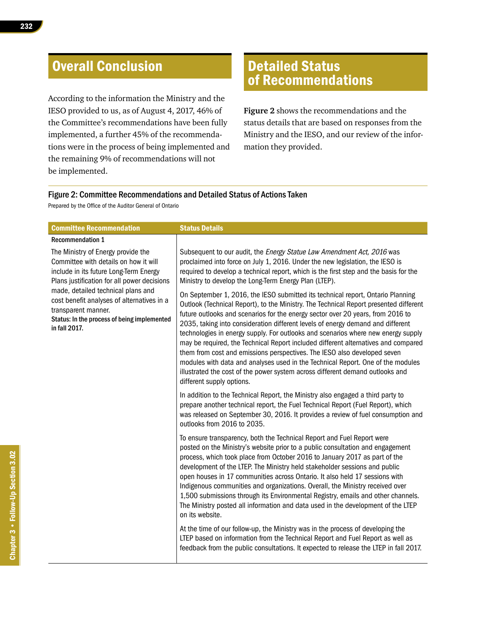## Overall Conclusion

According to the information the Ministry and the IESO provided to us, as of August 4, 2017, 46% of the Committee's recommendations have been fully implemented, a further 45% of the recommendations were in the process of being implemented and the remaining 9% of recommendations will not be implemented.

### Detailed Status of Recommendations

**Figure 2** shows the recommendations and the status details that are based on responses from the Ministry and the IESO, and our review of the information they provided.

#### Figure 2: Committee Recommendations and Detailed Status of Actions Taken

Prepared by the Office of the Auditor General of Ontario

| <b>Committee Recommendation</b>                                                                                                                                         | <b>Status Details</b>                                                                                                                                                                                                                                                                                                                                                                                                                                                                                                                                                                                                                                                                                                                                                                                  |
|-------------------------------------------------------------------------------------------------------------------------------------------------------------------------|--------------------------------------------------------------------------------------------------------------------------------------------------------------------------------------------------------------------------------------------------------------------------------------------------------------------------------------------------------------------------------------------------------------------------------------------------------------------------------------------------------------------------------------------------------------------------------------------------------------------------------------------------------------------------------------------------------------------------------------------------------------------------------------------------------|
| <b>Recommendation 1</b>                                                                                                                                                 |                                                                                                                                                                                                                                                                                                                                                                                                                                                                                                                                                                                                                                                                                                                                                                                                        |
| The Ministry of Energy provide the<br>Committee with details on how it will<br>include in its future Long-Term Energy<br>Plans justification for all power decisions    | Subsequent to our audit, the <i>Energy Statue Law Amendment Act, 2016</i> was<br>proclaimed into force on July 1, 2016. Under the new legislation, the IESO is<br>required to develop a technical report, which is the first step and the basis for the<br>Ministry to develop the Long-Term Energy Plan (LTEP).                                                                                                                                                                                                                                                                                                                                                                                                                                                                                       |
| made, detailed technical plans and<br>cost benefit analyses of alternatives in a<br>transparent manner.<br>Status: In the process of being implemented<br>in fall 2017. | On September 1, 2016, the IESO submitted its technical report, Ontario Planning<br>Outlook (Technical Report), to the Ministry. The Technical Report presented different<br>future outlooks and scenarios for the energy sector over 20 years, from 2016 to<br>2035, taking into consideration different levels of energy demand and different<br>technologies in energy supply. For outlooks and scenarios where new energy supply<br>may be required, the Technical Report included different alternatives and compared<br>them from cost and emissions perspectives. The IESO also developed seven<br>modules with data and analyses used in the Technical Report. One of the modules<br>illustrated the cost of the power system across different demand outlooks and<br>different supply options. |
|                                                                                                                                                                         | In addition to the Technical Report, the Ministry also engaged a third party to<br>prepare another technical report, the Fuel Technical Report (Fuel Report), which<br>was released on September 30, 2016. It provides a review of fuel consumption and<br>outlooks from 2016 to 2035.                                                                                                                                                                                                                                                                                                                                                                                                                                                                                                                 |
|                                                                                                                                                                         | To ensure transparency, both the Technical Report and Fuel Report were<br>posted on the Ministry's website prior to a public consultation and engagement<br>process, which took place from October 2016 to January 2017 as part of the<br>development of the LTEP. The Ministry held stakeholder sessions and public<br>open houses in 17 communities across Ontario. It also held 17 sessions with<br>Indigenous communities and organizations. Overall, the Ministry received over<br>1,500 submissions through its Environmental Registry, emails and other channels.<br>The Ministry posted all information and data used in the development of the LTEP<br>on its website.                                                                                                                        |
|                                                                                                                                                                         | At the time of our follow-up, the Ministry was in the process of developing the<br>LTEP based on information from the Technical Report and Fuel Report as well as<br>feedback from the public consultations. It expected to release the LTEP in fall 2017.                                                                                                                                                                                                                                                                                                                                                                                                                                                                                                                                             |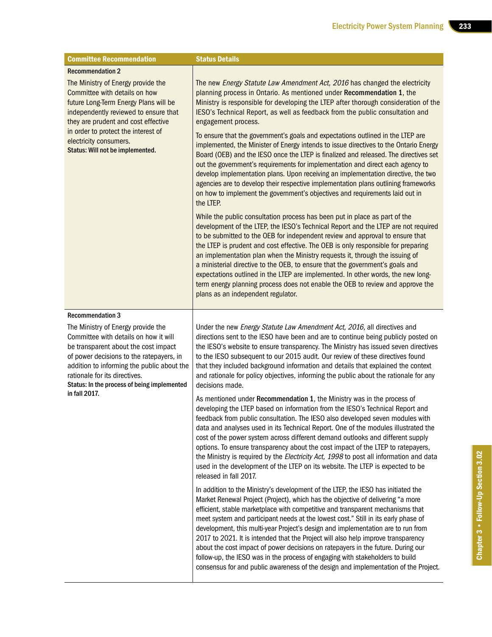| <b>Committee Recommendation</b>                                                                                                                                                                                                                                                               | <b>Status Details</b>                                                                                                                                                                                                                                                                                                                                                                                                                                                                                                                                                                                                                                                                                                                                                             |  |  |  |  |
|-----------------------------------------------------------------------------------------------------------------------------------------------------------------------------------------------------------------------------------------------------------------------------------------------|-----------------------------------------------------------------------------------------------------------------------------------------------------------------------------------------------------------------------------------------------------------------------------------------------------------------------------------------------------------------------------------------------------------------------------------------------------------------------------------------------------------------------------------------------------------------------------------------------------------------------------------------------------------------------------------------------------------------------------------------------------------------------------------|--|--|--|--|
| <b>Recommendation 2</b>                                                                                                                                                                                                                                                                       |                                                                                                                                                                                                                                                                                                                                                                                                                                                                                                                                                                                                                                                                                                                                                                                   |  |  |  |  |
| The Ministry of Energy provide the<br>Committee with details on how<br>future Long-Term Energy Plans will be<br>independently reviewed to ensure that<br>they are prudent and cost effective<br>in order to protect the interest of                                                           | The new Energy Statute Law Amendment Act, 2016 has changed the electricity<br>planning process in Ontario. As mentioned under Recommendation 1, the<br>Ministry is responsible for developing the LTEP after thorough consideration of the<br>IESO's Technical Report, as well as feedback from the public consultation and<br>engagement process.<br>To ensure that the government's goals and expectations outlined in the LTEP are                                                                                                                                                                                                                                                                                                                                             |  |  |  |  |
| electricity consumers.<br>Status: Will not be implemented.                                                                                                                                                                                                                                    | implemented, the Minister of Energy intends to issue directives to the Ontario Energy<br>Board (OEB) and the IESO once the LTEP is finalized and released. The directives set<br>out the government's requirements for implementation and direct each agency to<br>develop implementation plans. Upon receiving an implementation directive, the two<br>agencies are to develop their respective implementation plans outlining frameworks<br>on how to implement the government's objectives and requirements laid out in<br>the LTEP.                                                                                                                                                                                                                                           |  |  |  |  |
|                                                                                                                                                                                                                                                                                               | While the public consultation process has been put in place as part of the<br>development of the LTEP, the IESO's Technical Report and the LTEP are not required<br>to be submitted to the OEB for independent review and approval to ensure that<br>the LTEP is prudent and cost effective. The OEB is only responsible for preparing<br>an implementation plan when the Ministry requests it, through the issuing of<br>a ministerial directive to the OEB, to ensure that the government's goals and<br>expectations outlined in the LTEP are implemented. In other words, the new long-<br>term energy planning process does not enable the OEB to review and approve the<br>plans as an independent regulator.                                                               |  |  |  |  |
| <b>Recommendation 3</b>                                                                                                                                                                                                                                                                       |                                                                                                                                                                                                                                                                                                                                                                                                                                                                                                                                                                                                                                                                                                                                                                                   |  |  |  |  |
| The Ministry of Energy provide the<br>Committee with details on how it will<br>be transparent about the cost impact<br>of power decisions to the ratepayers, in<br>addition to informing the public about the<br>rationale for its directives.<br>Status: In the process of being implemented | Under the new Energy Statute Law Amendment Act, 2016, all directives and<br>directions sent to the IESO have been and are to continue being publicly posted on<br>the IESO's website to ensure transparency. The Ministry has issued seven directives<br>to the IESO subsequent to our 2015 audit. Our review of these directives found<br>that they included background information and details that explained the context<br>and rationale for policy objectives, informing the public about the rationale for any<br>decisions made.                                                                                                                                                                                                                                           |  |  |  |  |
| in fall 2017.                                                                                                                                                                                                                                                                                 | As mentioned under Recommendation 1, the Ministry was in the process of<br>developing the LTEP based on information from the IESO's Technical Report and<br>feedback from public consultation. The IESO also developed seven modules with<br>data and analyses used in its Technical Report. One of the modules illustrated the<br>cost of the power system across different demand outlooks and different supply<br>options. To ensure transparency about the cost impact of the LTEP to ratepayers,<br>the Ministry is required by the Electricity Act, 1998 to post all information and data<br>used in the development of the LTEP on its website. The LTEP is expected to be<br>released in fall 2017.                                                                       |  |  |  |  |
|                                                                                                                                                                                                                                                                                               | In addition to the Ministry's development of the LTEP, the IESO has initiated the<br>Market Renewal Project (Project), which has the objective of delivering "a more<br>efficient, stable marketplace with competitive and transparent mechanisms that<br>meet system and participant needs at the lowest cost." Still in its early phase of<br>development, this multi-year Project's design and implementation are to run from<br>2017 to 2021. It is intended that the Project will also help improve transparency<br>about the cost impact of power decisions on ratepayers in the future. During our<br>follow-up, the IESO was in the process of engaging with stakeholders to build<br>consensus for and public awareness of the design and implementation of the Project. |  |  |  |  |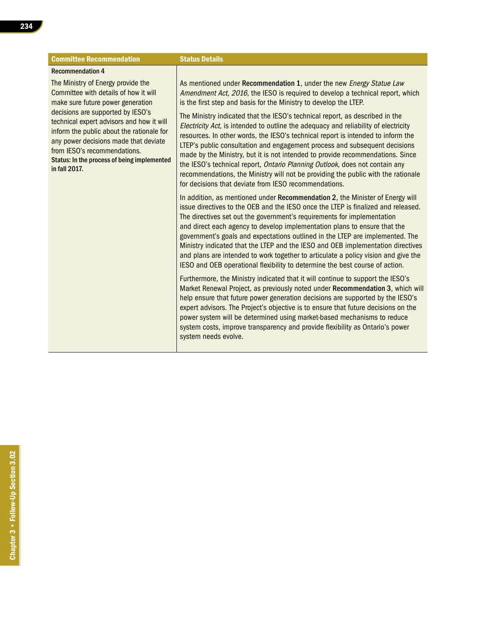| <b>Committee Recommendation</b>                                                                                                                                                                                                                                      | <b>Status Details</b>                                                                                                                                                                                                                                                                                                                                                                                                                                                                                                                                                                                                                                                |
|----------------------------------------------------------------------------------------------------------------------------------------------------------------------------------------------------------------------------------------------------------------------|----------------------------------------------------------------------------------------------------------------------------------------------------------------------------------------------------------------------------------------------------------------------------------------------------------------------------------------------------------------------------------------------------------------------------------------------------------------------------------------------------------------------------------------------------------------------------------------------------------------------------------------------------------------------|
| <b>Recommendation 4</b>                                                                                                                                                                                                                                              |                                                                                                                                                                                                                                                                                                                                                                                                                                                                                                                                                                                                                                                                      |
| The Ministry of Energy provide the<br>Committee with details of how it will<br>make sure future power generation                                                                                                                                                     | As mentioned under Recommendation 1, under the new Energy Statue Law<br>Amendment Act, 2016, the IESO is required to develop a technical report, which<br>is the first step and basis for the Ministry to develop the LTEP.                                                                                                                                                                                                                                                                                                                                                                                                                                          |
| decisions are supported by IESO's<br>technical expert advisors and how it will<br>inform the public about the rationale for<br>any power decisions made that deviate<br>from IESO's recommendations.<br>Status: In the process of being implemented<br>in fall 2017. | The Ministry indicated that the IESO's technical report, as described in the<br>Electricity Act, is intended to outline the adequacy and reliability of electricity<br>resources. In other words, the IESO's technical report is intended to inform the<br>LTEP's public consultation and engagement process and subsequent decisions<br>made by the Ministry, but it is not intended to provide recommendations. Since<br>the IESO's technical report, Ontario Planning Outlook, does not contain any<br>recommendations, the Ministry will not be providing the public with the rationale<br>for decisions that deviate from IESO recommendations.                 |
|                                                                                                                                                                                                                                                                      | In addition, as mentioned under Recommendation 2, the Minister of Energy will<br>issue directives to the OEB and the IESO once the LTEP is finalized and released.<br>The directives set out the government's requirements for implementation<br>and direct each agency to develop implementation plans to ensure that the<br>government's goals and expectations outlined in the LTEP are implemented. The<br>Ministry indicated that the LTEP and the IESO and OEB implementation directives<br>and plans are intended to work together to articulate a policy vision and give the<br>IESO and OEB operational flexibility to determine the best course of action. |
|                                                                                                                                                                                                                                                                      | Furthermore, the Ministry indicated that it will continue to support the IESO's<br>Market Renewal Project, as previously noted under Recommendation 3, which will<br>help ensure that future power generation decisions are supported by the IESO's<br>expert advisors. The Project's objective is to ensure that future decisions on the<br>power system will be determined using market-based mechanisms to reduce<br>system costs, improve transparency and provide flexibility as Ontario's power<br>system needs evolve.                                                                                                                                        |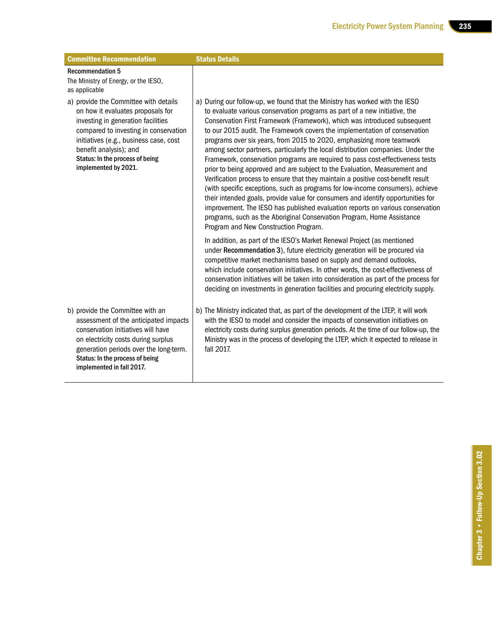| <b>Committee Recommendation</b>                                                                                                                                                                                                                                                          | <b>Status Details</b>                                                                                                                                                                                                                                                                                                                                                                                                                                                                                                                                                                                                                                                                                                                                                                                                                                                                                                                                                                                                                                                                                            |
|------------------------------------------------------------------------------------------------------------------------------------------------------------------------------------------------------------------------------------------------------------------------------------------|------------------------------------------------------------------------------------------------------------------------------------------------------------------------------------------------------------------------------------------------------------------------------------------------------------------------------------------------------------------------------------------------------------------------------------------------------------------------------------------------------------------------------------------------------------------------------------------------------------------------------------------------------------------------------------------------------------------------------------------------------------------------------------------------------------------------------------------------------------------------------------------------------------------------------------------------------------------------------------------------------------------------------------------------------------------------------------------------------------------|
| <b>Recommendation 5</b><br>The Ministry of Energy, or the IESO,<br>as applicable                                                                                                                                                                                                         |                                                                                                                                                                                                                                                                                                                                                                                                                                                                                                                                                                                                                                                                                                                                                                                                                                                                                                                                                                                                                                                                                                                  |
| a) provide the Committee with details<br>on how it evaluates proposals for<br>investing in generation facilities<br>compared to investing in conservation<br>initiatives (e.g., business case, cost<br>benefit analysis); and<br>Status: In the process of being<br>implemented by 2021. | a) During our follow-up, we found that the Ministry has worked with the IESO<br>to evaluate various conservation programs as part of a new initiative, the<br>Conservation First Framework (Framework), which was introduced subsequent<br>to our 2015 audit. The Framework covers the implementation of conservation<br>programs over six years, from 2015 to 2020, emphasizing more teamwork<br>among sector partners, particularly the local distribution companies. Under the<br>Framework, conservation programs are required to pass cost-effectiveness tests<br>prior to being approved and are subject to the Evaluation, Measurement and<br>Verification process to ensure that they maintain a positive cost-benefit result<br>(with specific exceptions, such as programs for low-income consumers), achieve<br>their intended goals, provide value for consumers and identify opportunities for<br>improvement. The IESO has published evaluation reports on various conservation<br>programs, such as the Aboriginal Conservation Program, Home Assistance<br>Program and New Construction Program. |
|                                                                                                                                                                                                                                                                                          | In addition, as part of the IESO's Market Renewal Project (as mentioned<br>under Recommendation 3), future electricity generation will be procured via<br>competitive market mechanisms based on supply and demand outlooks,<br>which include conservation initiatives. In other words, the cost-effectiveness of<br>conservation initiatives will be taken into consideration as part of the process for<br>deciding on investments in generation facilities and procuring electricity supply.                                                                                                                                                                                                                                                                                                                                                                                                                                                                                                                                                                                                                  |
| b) provide the Committee with an<br>assessment of the anticipated impacts<br>conservation initiatives will have<br>on electricity costs during surplus<br>generation periods over the long-term.<br>Status: In the process of being<br>implemented in fall 2017.                         | b) The Ministry indicated that, as part of the development of the LTEP, it will work<br>with the IESO to model and consider the impacts of conservation initiatives on<br>electricity costs during surplus generation periods. At the time of our follow-up, the<br>Ministry was in the process of developing the LTEP, which it expected to release in<br>fall 2017.                                                                                                                                                                                                                                                                                                                                                                                                                                                                                                                                                                                                                                                                                                                                            |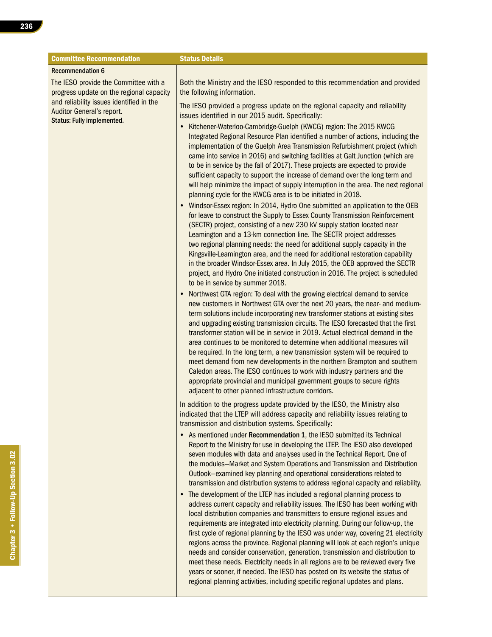| <b>Committee Recommendation</b>                                                                                                                                                                 | <b>Status Details</b>                                                                                                                                                                                                                                                                                                                                                                                                                                                                                                                                                                                                                                                                                                                                                                                                                                                                                                                                                                                                                                                                                                                                                                                                                                                                                                                                                                                                                                                                                                                                                                                                                                                                                                                                                                                                                                                                                                                                                                                                                                                                                                                                                                                                                                                                                                                                                                                                                                                                                                                                                                                                                                                                                                                                                                                                                                                                                                                                                                                                                                                                                                                                                                                                                                                                                                                                                                                                                                                                                                                                                                                                                                                                                                                                                                      |
|-------------------------------------------------------------------------------------------------------------------------------------------------------------------------------------------------|--------------------------------------------------------------------------------------------------------------------------------------------------------------------------------------------------------------------------------------------------------------------------------------------------------------------------------------------------------------------------------------------------------------------------------------------------------------------------------------------------------------------------------------------------------------------------------------------------------------------------------------------------------------------------------------------------------------------------------------------------------------------------------------------------------------------------------------------------------------------------------------------------------------------------------------------------------------------------------------------------------------------------------------------------------------------------------------------------------------------------------------------------------------------------------------------------------------------------------------------------------------------------------------------------------------------------------------------------------------------------------------------------------------------------------------------------------------------------------------------------------------------------------------------------------------------------------------------------------------------------------------------------------------------------------------------------------------------------------------------------------------------------------------------------------------------------------------------------------------------------------------------------------------------------------------------------------------------------------------------------------------------------------------------------------------------------------------------------------------------------------------------------------------------------------------------------------------------------------------------------------------------------------------------------------------------------------------------------------------------------------------------------------------------------------------------------------------------------------------------------------------------------------------------------------------------------------------------------------------------------------------------------------------------------------------------------------------------------------------------------------------------------------------------------------------------------------------------------------------------------------------------------------------------------------------------------------------------------------------------------------------------------------------------------------------------------------------------------------------------------------------------------------------------------------------------------------------------------------------------------------------------------------------------------------------------------------------------------------------------------------------------------------------------------------------------------------------------------------------------------------------------------------------------------------------------------------------------------------------------------------------------------------------------------------------------------------------------------------------------------------------------------------------------|
| <b>Recommendation 6</b>                                                                                                                                                                         |                                                                                                                                                                                                                                                                                                                                                                                                                                                                                                                                                                                                                                                                                                                                                                                                                                                                                                                                                                                                                                                                                                                                                                                                                                                                                                                                                                                                                                                                                                                                                                                                                                                                                                                                                                                                                                                                                                                                                                                                                                                                                                                                                                                                                                                                                                                                                                                                                                                                                                                                                                                                                                                                                                                                                                                                                                                                                                                                                                                                                                                                                                                                                                                                                                                                                                                                                                                                                                                                                                                                                                                                                                                                                                                                                                                            |
| The IESO provide the Committee with a<br>progress update on the regional capacity<br>and reliability issues identified in the<br>Auditor General's report.<br><b>Status: Fully implemented.</b> | Both the Ministry and the IESO responded to this recommendation and provided<br>the following information.                                                                                                                                                                                                                                                                                                                                                                                                                                                                                                                                                                                                                                                                                                                                                                                                                                                                                                                                                                                                                                                                                                                                                                                                                                                                                                                                                                                                                                                                                                                                                                                                                                                                                                                                                                                                                                                                                                                                                                                                                                                                                                                                                                                                                                                                                                                                                                                                                                                                                                                                                                                                                                                                                                                                                                                                                                                                                                                                                                                                                                                                                                                                                                                                                                                                                                                                                                                                                                                                                                                                                                                                                                                                                 |
|                                                                                                                                                                                                 | The IESO provided a progress update on the regional capacity and reliability<br>issues identified in our 2015 audit. Specifically:                                                                                                                                                                                                                                                                                                                                                                                                                                                                                                                                                                                                                                                                                                                                                                                                                                                                                                                                                                                                                                                                                                                                                                                                                                                                                                                                                                                                                                                                                                                                                                                                                                                                                                                                                                                                                                                                                                                                                                                                                                                                                                                                                                                                                                                                                                                                                                                                                                                                                                                                                                                                                                                                                                                                                                                                                                                                                                                                                                                                                                                                                                                                                                                                                                                                                                                                                                                                                                                                                                                                                                                                                                                         |
|                                                                                                                                                                                                 | Kitchener-Waterloo-Cambridge-Guelph (KWCG) region: The 2015 KWCG<br>Integrated Regional Resource Plan identified a number of actions, including the<br>implementation of the Guelph Area Transmission Refurbishment project (which<br>came into service in 2016) and switching facilities at Galt Junction (which are<br>to be in service by the fall of 2017). These projects are expected to provide<br>sufficient capacity to support the increase of demand over the long term and<br>will help minimize the impact of supply interruption in the area. The next regional<br>planning cycle for the KWCG area is to be initiated in 2018.<br>Windsor-Essex region: In 2014, Hydro One submitted an application to the OEB<br>for leave to construct the Supply to Essex County Transmission Reinforcement<br>(SECTR) project, consisting of a new 230 kV supply station located near<br>Leamington and a 13-km connection line. The SECTR project addresses<br>two regional planning needs: the need for additional supply capacity in the<br>Kingsville-Leamington area, and the need for additional restoration capability<br>in the broader Windsor-Essex area. In July 2015, the OEB approved the SECTR<br>project, and Hydro One initiated construction in 2016. The project is scheduled<br>to be in service by summer 2018.<br>Northwest GTA region: To deal with the growing electrical demand to service<br>new customers in Northwest GTA over the next 20 years, the near- and medium-<br>term solutions include incorporating new transformer stations at existing sites<br>and upgrading existing transmission circuits. The IESO forecasted that the first<br>transformer station will be in service in 2019. Actual electrical demand in the<br>area continues to be monitored to determine when additional measures will<br>be required. In the long term, a new transmission system will be required to<br>meet demand from new developments in the northern Brampton and southern<br>Caledon areas. The IESO continues to work with industry partners and the<br>appropriate provincial and municipal government groups to secure rights<br>adjacent to other planned infrastructure corridors.<br>In addition to the progress update provided by the IESO, the Ministry also<br>indicated that the LTEP will address capacity and reliability issues relating to<br>transmission and distribution systems. Specifically:<br>• As mentioned under Recommendation 1, the IESO submitted its Technical<br>Report to the Ministry for use in developing the LTEP. The IESO also developed<br>seven modules with data and analyses used in the Technical Report. One of<br>the modules-Market and System Operations and Transmission and Distribution<br>Outlook-examined key planning and operational considerations related to<br>transmission and distribution systems to address regional capacity and reliability.<br>The development of the LTEP has included a regional planning process to<br>address current capacity and reliability issues. The IESO has been working with<br>local distribution companies and transmitters to ensure regional issues and<br>requirements are integrated into electricity planning. During our follow-up, the<br>first cycle of regional planning by the IESO was under way, covering 21 electricity<br>regions across the province. Regional planning will look at each region's unique<br>needs and consider conservation, generation, transmission and distribution to<br>meet these needs. Electricity needs in all regions are to be reviewed every five<br>years or sooner, if needed. The IESO has posted on its website the status of<br>regional planning activities, including specific regional updates and plans. |
|                                                                                                                                                                                                 |                                                                                                                                                                                                                                                                                                                                                                                                                                                                                                                                                                                                                                                                                                                                                                                                                                                                                                                                                                                                                                                                                                                                                                                                                                                                                                                                                                                                                                                                                                                                                                                                                                                                                                                                                                                                                                                                                                                                                                                                                                                                                                                                                                                                                                                                                                                                                                                                                                                                                                                                                                                                                                                                                                                                                                                                                                                                                                                                                                                                                                                                                                                                                                                                                                                                                                                                                                                                                                                                                                                                                                                                                                                                                                                                                                                            |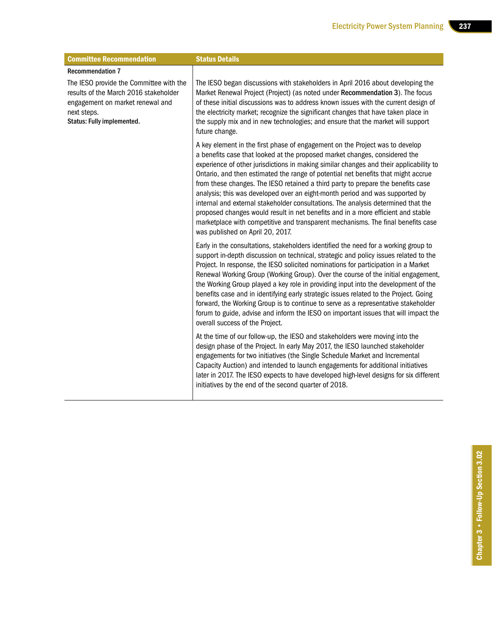| <b>Committee Recommendation</b>                                                                                                                                   | <b>Status Details</b>                                                                                                                                                                                                                                                                                                                                                                                                                                                                                                                                                                                                                                                                                                                                                                                          |
|-------------------------------------------------------------------------------------------------------------------------------------------------------------------|----------------------------------------------------------------------------------------------------------------------------------------------------------------------------------------------------------------------------------------------------------------------------------------------------------------------------------------------------------------------------------------------------------------------------------------------------------------------------------------------------------------------------------------------------------------------------------------------------------------------------------------------------------------------------------------------------------------------------------------------------------------------------------------------------------------|
| <b>Recommendation 7</b>                                                                                                                                           |                                                                                                                                                                                                                                                                                                                                                                                                                                                                                                                                                                                                                                                                                                                                                                                                                |
| The IESO provide the Committee with the<br>results of the March 2016 stakeholder<br>engagement on market renewal and<br>next steps.<br>Status: Fully implemented. | The IESO began discussions with stakeholders in April 2016 about developing the<br>Market Renewal Project (Project) (as noted under Recommendation 3). The focus<br>of these initial discussions was to address known issues with the current design of<br>the electricity market; recognize the significant changes that have taken place in<br>the supply mix and in new technologies; and ensure that the market will support<br>future change.                                                                                                                                                                                                                                                                                                                                                             |
|                                                                                                                                                                   | A key element in the first phase of engagement on the Project was to develop<br>a benefits case that looked at the proposed market changes, considered the<br>experience of other jurisdictions in making similar changes and their applicability to<br>Ontario, and then estimated the range of potential net benefits that might accrue<br>from these changes. The IESO retained a third party to prepare the benefits case<br>analysis; this was developed over an eight-month period and was supported by<br>internal and external stakeholder consultations. The analysis determined that the<br>proposed changes would result in net benefits and in a more efficient and stable<br>marketplace with competitive and transparent mechanisms. The final benefits case<br>was published on April 20, 2017. |
|                                                                                                                                                                   | Early in the consultations, stakeholders identified the need for a working group to<br>support in-depth discussion on technical, strategic and policy issues related to the<br>Project. In response, the IESO solicited nominations for participation in a Market<br>Renewal Working Group (Working Group). Over the course of the initial engagement,<br>the Working Group played a key role in providing input into the development of the<br>benefits case and in identifying early strategic issues related to the Project. Going<br>forward, the Working Group is to continue to serve as a representative stakeholder<br>forum to guide, advise and inform the IESO on important issues that will impact the<br>overall success of the Project.                                                          |
|                                                                                                                                                                   | At the time of our follow-up, the IESO and stakeholders were moving into the<br>design phase of the Project. In early May 2017, the IESO launched stakeholder<br>engagements for two initiatives (the Single Schedule Market and Incremental<br>Capacity Auction) and intended to launch engagements for additional initiatives<br>later in 2017. The IESO expects to have developed high-level designs for six different<br>initiatives by the end of the second quarter of 2018.                                                                                                                                                                                                                                                                                                                             |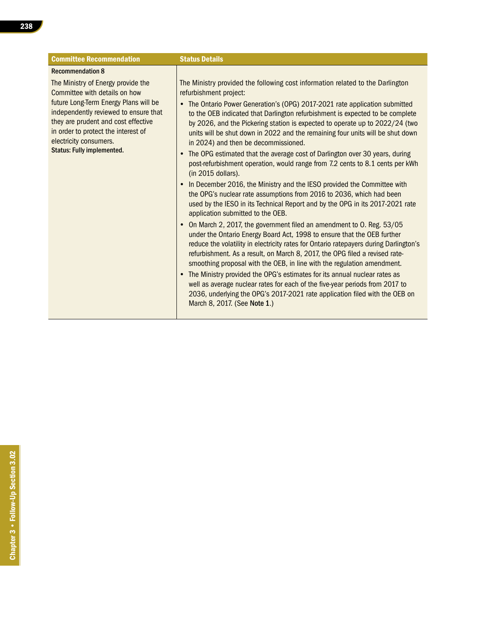| <b>Committee Recommendation</b>                                                                                                                                                                                                                                                                    | <b>Status Details</b>                                                                                                                                                                                                                                                                                                                                                                                                                                                                                                                                                                                                                                                                                                                                                                                                                                                                                                                                                                                                                                                                                                                                                                                                                                                                                                                                                                                                                                                                                                                                                                                                                                         |
|----------------------------------------------------------------------------------------------------------------------------------------------------------------------------------------------------------------------------------------------------------------------------------------------------|---------------------------------------------------------------------------------------------------------------------------------------------------------------------------------------------------------------------------------------------------------------------------------------------------------------------------------------------------------------------------------------------------------------------------------------------------------------------------------------------------------------------------------------------------------------------------------------------------------------------------------------------------------------------------------------------------------------------------------------------------------------------------------------------------------------------------------------------------------------------------------------------------------------------------------------------------------------------------------------------------------------------------------------------------------------------------------------------------------------------------------------------------------------------------------------------------------------------------------------------------------------------------------------------------------------------------------------------------------------------------------------------------------------------------------------------------------------------------------------------------------------------------------------------------------------------------------------------------------------------------------------------------------------|
| <b>Recommendation 8</b>                                                                                                                                                                                                                                                                            |                                                                                                                                                                                                                                                                                                                                                                                                                                                                                                                                                                                                                                                                                                                                                                                                                                                                                                                                                                                                                                                                                                                                                                                                                                                                                                                                                                                                                                                                                                                                                                                                                                                               |
| The Ministry of Energy provide the<br>Committee with details on how<br>future Long-Term Energy Plans will be<br>independently reviewed to ensure that<br>they are prudent and cost effective<br>in order to protect the interest of<br>electricity consumers.<br><b>Status: Fully implemented.</b> | The Ministry provided the following cost information related to the Darlington<br>refurbishment project:<br>The Ontario Power Generation's (OPG) 2017-2021 rate application submitted<br>to the OEB indicated that Darlington refurbishment is expected to be complete<br>by 2026, and the Pickering station is expected to operate up to 2022/24 (two<br>units will be shut down in 2022 and the remaining four units will be shut down<br>in 2024) and then be decommissioned.<br>The OPG estimated that the average cost of Darlington over 30 years, during<br>$\bullet$<br>post-refurbishment operation, would range from 7.2 cents to 8.1 cents per kWh<br>$(in 2015$ dollars).<br>In December 2016, the Ministry and the IESO provided the Committee with<br>$\bullet$<br>the OPG's nuclear rate assumptions from 2016 to 2036, which had been<br>used by the IESO in its Technical Report and by the OPG in its 2017-2021 rate<br>application submitted to the OEB.<br>On March 2, 2017, the government filed an amendment to 0. Reg. 53/05<br>under the Ontario Energy Board Act, 1998 to ensure that the OEB further<br>reduce the volatility in electricity rates for Ontario ratepayers during Darlington's<br>refurbishment. As a result, on March 8, 2017, the OPG filed a revised rate-<br>smoothing proposal with the OEB, in line with the regulation amendment.<br>The Ministry provided the OPG's estimates for its annual nuclear rates as<br>well as average nuclear rates for each of the five-year periods from 2017 to<br>2036, underlying the OPG's 2017-2021 rate application filed with the OEB on<br>March 8, 2017. (See Note 1.) |
|                                                                                                                                                                                                                                                                                                    |                                                                                                                                                                                                                                                                                                                                                                                                                                                                                                                                                                                                                                                                                                                                                                                                                                                                                                                                                                                                                                                                                                                                                                                                                                                                                                                                                                                                                                                                                                                                                                                                                                                               |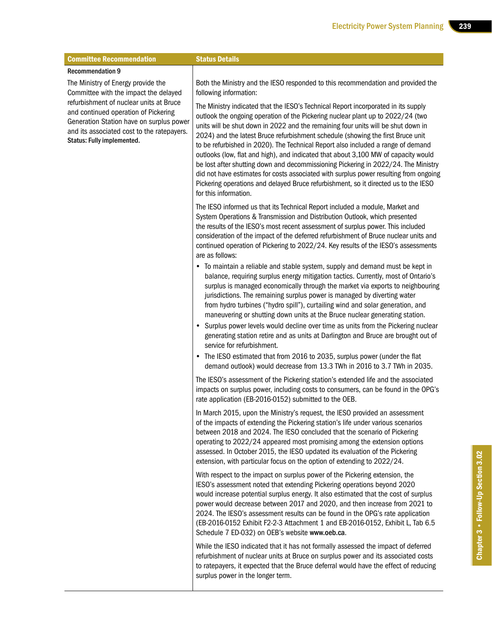| <b>Committee Recommendation</b>                                                                                                                                                                         | <b>Status Details</b>                                                                                                                                                                                                                                                                                                                                                                                                                                                                                                                                                                                                                                                                                                                                                                                                  |
|---------------------------------------------------------------------------------------------------------------------------------------------------------------------------------------------------------|------------------------------------------------------------------------------------------------------------------------------------------------------------------------------------------------------------------------------------------------------------------------------------------------------------------------------------------------------------------------------------------------------------------------------------------------------------------------------------------------------------------------------------------------------------------------------------------------------------------------------------------------------------------------------------------------------------------------------------------------------------------------------------------------------------------------|
| <b>Recommendation 9</b>                                                                                                                                                                                 |                                                                                                                                                                                                                                                                                                                                                                                                                                                                                                                                                                                                                                                                                                                                                                                                                        |
| The Ministry of Energy provide the<br>Committee with the impact the delayed                                                                                                                             | Both the Ministry and the IESO responded to this recommendation and provided the<br>following information:                                                                                                                                                                                                                                                                                                                                                                                                                                                                                                                                                                                                                                                                                                             |
| refurbishment of nuclear units at Bruce<br>and continued operation of Pickering<br>Generation Station have on surplus power<br>and its associated cost to the ratepayers.<br>Status: Fully implemented. | The Ministry indicated that the IESO's Technical Report incorporated in its supply<br>outlook the ongoing operation of the Pickering nuclear plant up to 2022/24 (two<br>units will be shut down in 2022 and the remaining four units will be shut down in<br>2024) and the latest Bruce refurbishment schedule (showing the first Bruce unit<br>to be refurbished in 2020). The Technical Report also included a range of demand<br>outlooks (low, flat and high), and indicated that about 3,100 MW of capacity would<br>be lost after shutting down and decommissioning Pickering in 2022/24. The Ministry<br>did not have estimates for costs associated with surplus power resulting from ongoing<br>Pickering operations and delayed Bruce refurbishment, so it directed us to the IESO<br>for this information. |
|                                                                                                                                                                                                         | The IESO informed us that its Technical Report included a module, Market and<br>System Operations & Transmission and Distribution Outlook, which presented<br>the results of the IESO's most recent assessment of surplus power. This included<br>consideration of the impact of the deferred refurbishment of Bruce nuclear units and<br>continued operation of Pickering to 2022/24. Key results of the IESO's assessments<br>are as follows:                                                                                                                                                                                                                                                                                                                                                                        |
|                                                                                                                                                                                                         | • To maintain a reliable and stable system, supply and demand must be kept in<br>balance, requiring surplus energy mitigation tactics. Currently, most of Ontario's<br>surplus is managed economically through the market via exports to neighbouring<br>jurisdictions. The remaining surplus power is managed by diverting water<br>from hydro turbines ("hydro spill"), curtailing wind and solar generation, and<br>maneuvering or shutting down units at the Bruce nuclear generating station.                                                                                                                                                                                                                                                                                                                     |
|                                                                                                                                                                                                         | • Surplus power levels would decline over time as units from the Pickering nuclear<br>generating station retire and as units at Darlington and Bruce are brought out of<br>service for refurbishment.                                                                                                                                                                                                                                                                                                                                                                                                                                                                                                                                                                                                                  |
|                                                                                                                                                                                                         | • The IESO estimated that from 2016 to 2035, surplus power (under the flat<br>demand outlook) would decrease from 13.3 TWh in 2016 to 3.7 TWh in 2035.                                                                                                                                                                                                                                                                                                                                                                                                                                                                                                                                                                                                                                                                 |
|                                                                                                                                                                                                         | The IESO's assessment of the Pickering station's extended life and the associated<br>impacts on surplus power, including costs to consumers, can be found in the OPG's<br>rate application (EB-2016-0152) submitted to the OEB.                                                                                                                                                                                                                                                                                                                                                                                                                                                                                                                                                                                        |
|                                                                                                                                                                                                         | In March 2015, upon the Ministry's request, the IESO provided an assessment<br>of the impacts of extending the Pickering station's life under various scenarios<br>between 2018 and 2024. The IESO concluded that the scenario of Pickering<br>operating to 2022/24 appeared most promising among the extension options<br>assessed. In October 2015, the IESO updated its evaluation of the Pickering<br>extension, with particular focus on the option of extending to 2022/24.                                                                                                                                                                                                                                                                                                                                      |
|                                                                                                                                                                                                         | With respect to the impact on surplus power of the Pickering extension, the<br>IESO's assessment noted that extending Pickering operations beyond 2020<br>would increase potential surplus energy. It also estimated that the cost of surplus<br>power would decrease between 2017 and 2020, and then increase from 2021 to<br>2024. The IESO's assessment results can be found in the OPG's rate application<br>(EB-2016-0152 Exhibit F2-2-3 Attachment 1 and EB-2016-0152, Exhibit L, Tab 6.5<br>Schedule 7 ED-032) on OEB's website www.oeb.ca.                                                                                                                                                                                                                                                                     |
|                                                                                                                                                                                                         | While the IESO indicated that it has not formally assessed the impact of deferred<br>refurbishment of nuclear units at Bruce on surplus power and its associated costs<br>to ratepayers, it expected that the Bruce deferral would have the effect of reducing<br>surplus power in the longer term.                                                                                                                                                                                                                                                                                                                                                                                                                                                                                                                    |